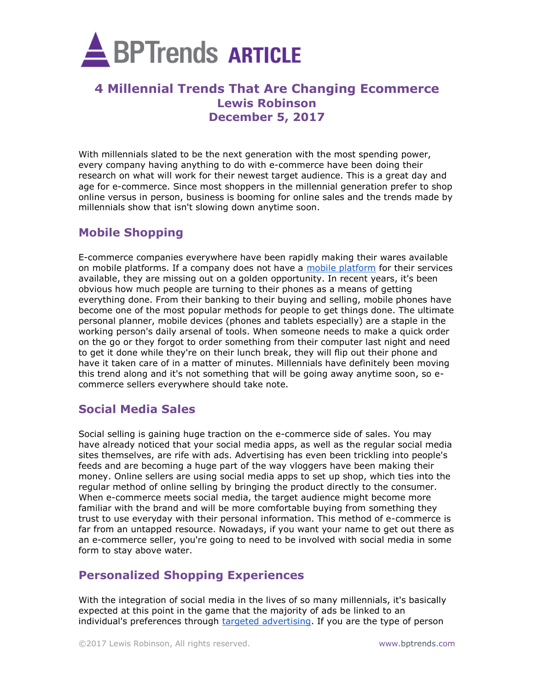

# **4 Millennial Trends That Are Changing Ecommerce Lewis Robinson December 5, 2017**

With millennials slated to be the next generation with the most spending power, every company having anything to do with e-commerce have been doing their research on what will work for their newest target audience. This is a great day and age for e-commerce. Since most shoppers in the millennial generation prefer to shop online versus in person, business is booming for online sales and the trends made by millennials show that isn't slowing down anytime soon.

### **Mobile Shopping**

E-commerce companies everywhere have been rapidly making their wares available on mobile platforms. If a company does not have a [mobile platform](https://founderu.selz.com/mobile-ecommerce-top-your-list/) for their services available, they are missing out on a golden opportunity. In recent years, it's been obvious how much people are turning to their phones as a means of getting everything done. From their banking to their buying and selling, mobile phones have become one of the most popular methods for people to get things done. The ultimate personal planner, mobile devices (phones and tablets especially) are a staple in the working person's daily arsenal of tools. When someone needs to make a quick order on the go or they forgot to order something from their computer last night and need to get it done while they're on their lunch break, they will flip out their phone and have it taken care of in a matter of minutes. Millennials have definitely been moving this trend along and it's not something that will be going away anytime soon, so ecommerce sellers everywhere should take note.

# **Social Media Sales**

Social selling is gaining huge traction on the e-commerce side of sales. You may have already noticed that your social media apps, as well as the regular social media sites themselves, are rife with ads. Advertising has even been trickling into people's feeds and are becoming a huge part of the way vloggers have been making their money. Online sellers are using social media apps to set up shop, which ties into the regular method of online selling by bringing the product directly to the consumer. When e-commerce meets social media, the target audience might become more familiar with the brand and will be more comfortable buying from something they trust to use everyday with their personal information. This method of e-commerce is far from an untapped resource. Nowadays, if you want your name to get out there as an e-commerce seller, you're going to need to be involved with social media in some form to stay above water.

# **Personalized Shopping Experiences**

With the integration of social media in the lives of so many millennials, it's basically expected at this point in the game that the majority of ads be linked to an individual's preferences through [targeted advertising.](https://www.gcflearnfree.org/thenow/what-is-targeted-advertising/1/) If you are the type of person